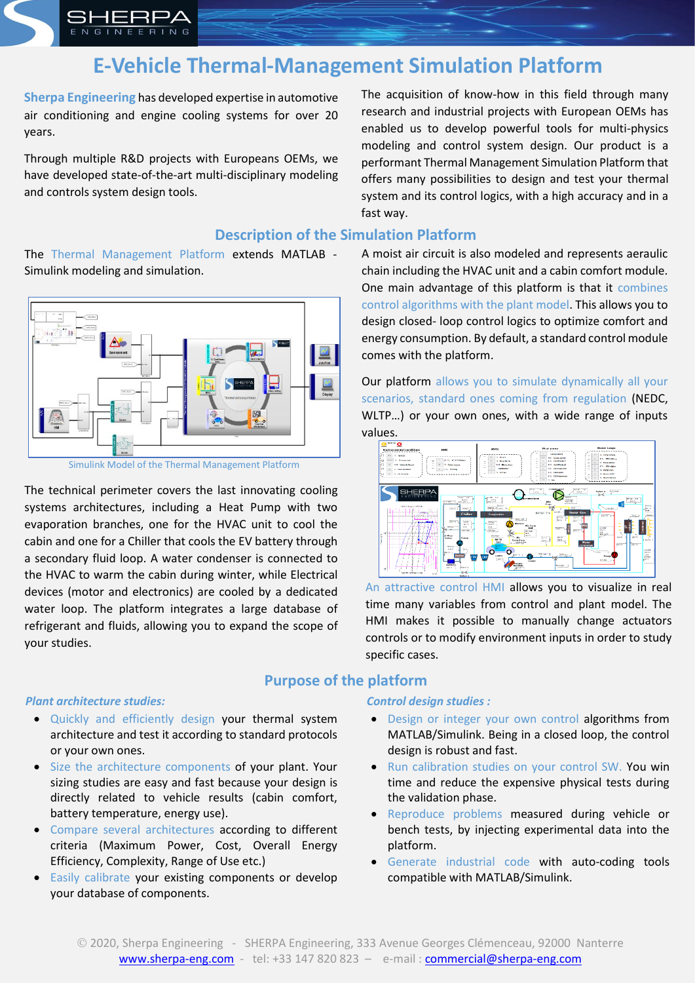

# **E-Vehicle Thermal-Management Simulation Platform**

**Sherpa Engineering** has developed expertise in automotive air conditioning and engine cooling systems for over 20 years.

Through multiple R&D projects with Europeans OEMs, we have developed state-of-the-art multi-disciplinary modeling and controls system design tools.

The acquisition of know-how in this field through many research and industrial projects with European OEMs has enabled us to develop powerful tools for multi-physics modeling and control system design. Our product is a performant Thermal Management Simulation Platform that offers many possibilities to design and test your thermal system and its control logics, with a high accuracy and in a fast way.

# **Description of the Simulation Platform**

The Thermal Management Platform extends MATLAB - Simulink modeling and simulation.



Simulink Model of the Thermal Management Platform

The technical perimeter covers the last innovating cooling systems architectures, including a Heat Pump with two evaporation branches, one for the HVAC unit to cool the cabin and one for a Chiller that cools the EV battery through a secondary fluid loop. A water condenser is connected to the HVAC to warm the cabin during winter, while Electrical devices (motor and electronics) are cooled by a dedicated water loop. The platform integrates a large database of refrigerant and fluids, allowing you to expand the scope of your studies.

#### *Plant architecture studies:*

- Quickly and efficiently design your thermal system architecture and test it according to standard protocols or your own ones.
- Size the architecture components of your plant. Your sizing studies are easy and fast because your design is directly related to vehicle results (cabin comfort, battery temperature, energy use).
- Compare several architectures according to different criteria (Maximum Power, Cost, Overall Energy Efficiency, Complexity, Range of Use etc.)
- Easily calibrate your existing components or develop your database of components.

A moist air circuit is also modeled and represents aeraulic chain including the HVAC unit and a cabin comfort module. One main advantage of this platform is that it combines control algorithms with the plant model. This allows you to design closed- loop control logics to optimize comfort and energy consumption. By default, a standard control module comes with the platform.

Our platform allows you to simulate dynamically all your scenarios, standard ones coming from regulation (NEDC, WLTP…) or your own ones, with a wide range of inputs values.



An attractive control HMI allows you to visualize in real time many variables from control and plant model. The HMI makes it possible to manually change actuators controls or to modify environment inputs in order to study specific cases.

# **Purpose of the platform**

#### *Control design studies :*

- Design or integer your own control algorithms from MATLAB/Simulink. Being in a closed loop, the control design is robust and fast.
- Run calibration studies on your control SW. You win time and reduce the expensive physical tests during the validation phase.
- Reproduce problems measured during vehicle or bench tests, by injecting experimental data into the platform.
- Generate industrial code with auto-coding tools compatible with MATLAB/Simulink.